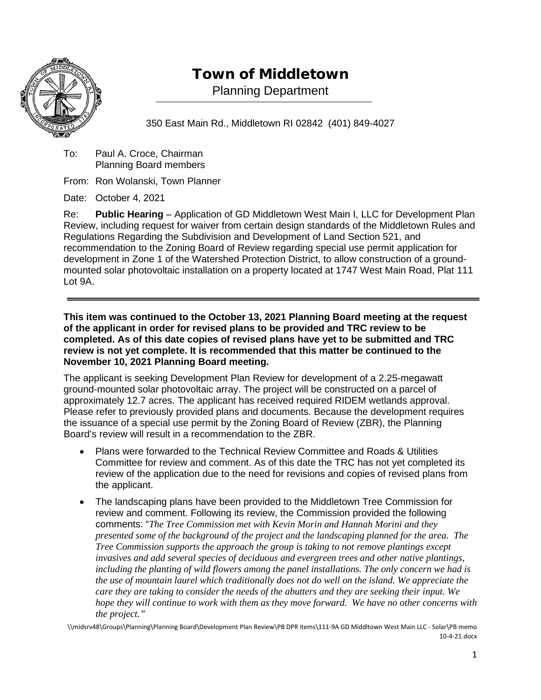

## Town of Middletown

Planning Department

350 East Main Rd., Middletown RI 02842 (401) 849-4027

To: Paul A. Croce, Chairman Planning Board members

From: Ron Wolanski, Town Planner

Date: October 4, 2021

Re: **Public Hearing** – Application of GD Middletown West Main I, LLC for Development Plan Review, including request for waiver from certain design standards of the Middletown Rules and Regulations Regarding the Subdivision and Development of Land Section 521, and recommendation to the Zoning Board of Review regarding special use permit application for development in Zone 1 of the Watershed Protection District, to allow construction of a groundmounted solar photovoltaic installation on a property located at 1747 West Main Road, Plat 111 Lot 9A.

**This item was continued to the October 13, 2021 Planning Board meeting at the request of the applicant in order for revised plans to be provided and TRC review to be completed. As of this date copies of revised plans have yet to be submitted and TRC review is not yet complete. It is recommended that this matter be continued to the November 10, 2021 Planning Board meeting.**

The applicant is seeking Development Plan Review for development of a 2.25-megawatt ground-mounted solar photovoltaic array. The project will be constructed on a parcel of approximately 12.7 acres. The applicant has received required RIDEM wetlands approval. Please refer to previously provided plans and documents. Because the development requires the issuance of a special use permit by the Zoning Board of Review (ZBR), the Planning Board's review will result in a recommendation to the ZBR.

- Plans were forwarded to the Technical Review Committee and Roads & Utilities Committee for review and comment. As of this date the TRC has not yet completed its review of the application due to the need for revisions and copies of revised plans from the applicant.
- The landscaping plans have been provided to the Middletown Tree Commission for review and comment. Following its review, the Commission provided the following comments: "*The Tree Commission met with Kevin Morin and Hannah Morini and they presented some of the background of the project and the landscaping planned for the area. The Tree Commission supports the approach the group is taking to not remove plantings except invasives and add several species of deciduous and evergreen trees and other native plantings, including the planting of wild flowers among the panel installations. The only concern we had is the use of mountain laurel which traditionally does not do well on the island. We appreciate the care they are taking to consider the needs of the abutters and they are seeking their input. We hope they will continue to work with them as they move forward. We have no other concerns with the project."*

\\midsrv48\Groups\Planning\Planning Board\Development Plan Review\PB DPR items\111-9A GD Middltown West Main LLC - Solar\PB memo 10-4-21.docx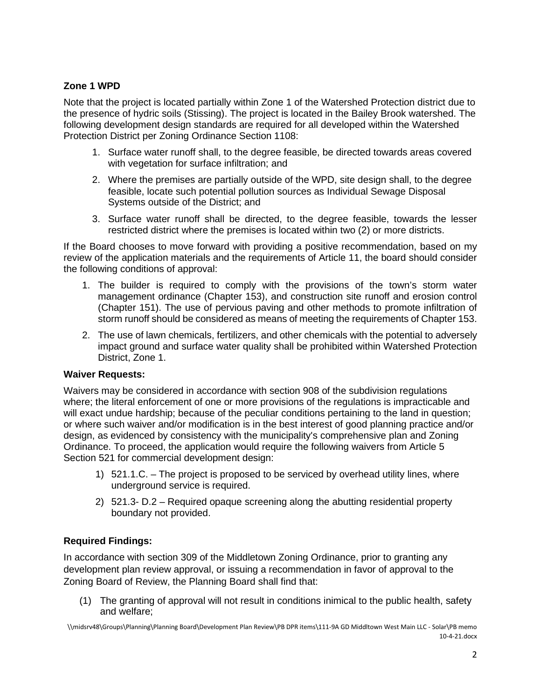## **Zone 1 WPD**

Note that the project is located partially within Zone 1 of the Watershed Protection district due to the presence of hydric soils (Stissing). The project is located in the Bailey Brook watershed. The following development design standards are required for all developed within the Watershed Protection District per Zoning Ordinance Section 1108:

- 1. Surface water runoff shall, to the degree feasible, be directed towards areas covered with vegetation for surface infiltration; and
- 2. Where the premises are partially outside of the WPD, site design shall, to the degree feasible, locate such potential pollution sources as Individual Sewage Disposal Systems outside of the District; and
- 3. Surface water runoff shall be directed, to the degree feasible, towards the lesser restricted district where the premises is located within two (2) or more districts.

If the Board chooses to move forward with providing a positive recommendation, based on my review of the application materials and the requirements of Article 11, the board should consider the following conditions of approval:

- 1. The builder is required to comply with the provisions of the town's storm water management ordinance (Chapter 153), and construction site runoff and erosion control (Chapter 151). The use of pervious paving and other methods to promote infiltration of storm runoff should be considered as means of meeting the requirements of Chapter 153.
- 2. The use of lawn chemicals, fertilizers, and other chemicals with the potential to adversely impact ground and surface water quality shall be prohibited within Watershed Protection District, Zone 1.

## **Waiver Requests:**

Waivers may be considered in accordance with section 908 of the subdivision regulations where; the literal enforcement of one or more provisions of the regulations is impracticable and will exact undue hardship; because of the peculiar conditions pertaining to the land in question; or where such waiver and/or modification is in the best interest of good planning practice and/or design, as evidenced by consistency with the municipality's comprehensive plan and Zoning Ordinance. To proceed, the application would require the following waivers from Article 5 Section 521 for commercial development design:

- 1) 521.1.C. The project is proposed to be serviced by overhead utility lines, where underground service is required.
- 2) 521.3- D.2 Required opaque screening along the abutting residential property boundary not provided.

## **Required Findings:**

In accordance with section 309 of the Middletown Zoning Ordinance, prior to granting any development plan review approval, or issuing a recommendation in favor of approval to the Zoning Board of Review, the Planning Board shall find that:

(1) The granting of approval will not result in conditions inimical to the public health, safety and welfare;

<sup>\\</sup>midsrv48\Groups\Planning\Planning Board\Development Plan Review\PB DPR items\111-9A GD Middltown West Main LLC - Solar\PB memo 10-4-21.docx